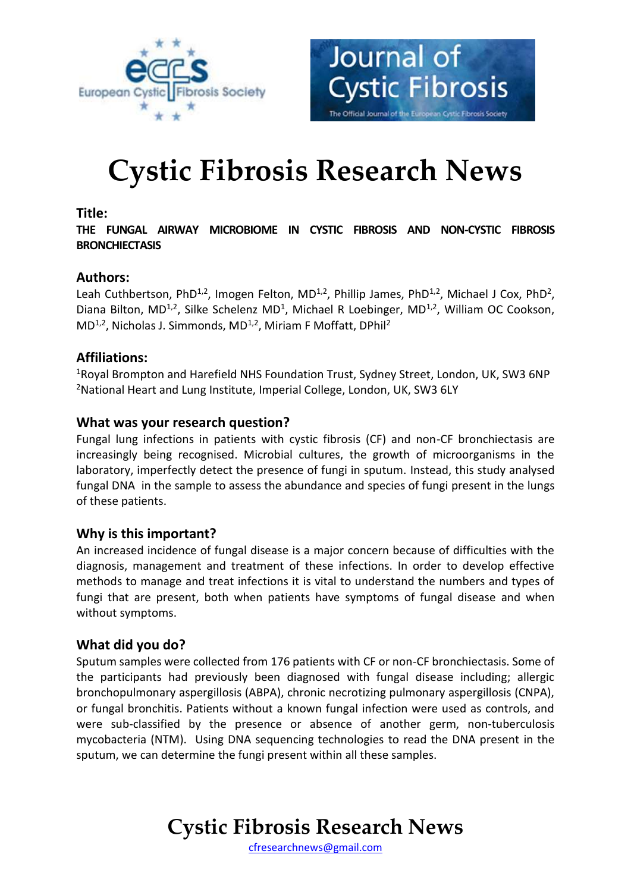



# **Cystic Fibrosis Research News**

### **Title:**

**THE FUNGAL AIRWAY MICROBIOME IN CYSTIC FIBROSIS AND NON-CYSTIC FIBROSIS BRONCHIECTASIS**

# **Authors:**

Leah Cuthbertson, PhD<sup>1,2</sup>, Imogen Felton, MD<sup>1,2</sup>, Phillip James, PhD<sup>1,2</sup>, Michael J Cox, PhD<sup>2</sup>, Diana Bilton, MD<sup>1,2</sup>, Silke Schelenz MD<sup>1</sup>, Michael R Loebinger, MD<sup>1,2</sup>, William OC Cookson, MD<sup>1,2</sup>, Nicholas J. Simmonds, MD<sup>1,2</sup>, Miriam F Moffatt, DPhil<sup>2</sup>

### **Affiliations:**

<sup>1</sup>Royal Brompton and Harefield NHS Foundation Trust, Sydney Street, London, UK, SW3 6NP <sup>2</sup>National Heart and Lung Institute, Imperial College, London, UK, SW3 6LY

### **What was your research question?**

Fungal lung infections in patients with cystic fibrosis (CF) and non-CF bronchiectasis are increasingly being recognised. Microbial cultures, the growth of microorganisms in the laboratory, imperfectly detect the presence of fungi in sputum. Instead, this study analysed fungal DNA in the sample to assess the abundance and species of fungi present in the lungs of these patients.

# **Why is this important?**

An increased incidence of fungal disease is a major concern because of difficulties with the diagnosis, management and treatment of these infections. In order to develop effective methods to manage and treat infections it is vital to understand the numbers and types of fungi that are present, both when patients have symptoms of fungal disease and when without symptoms.

#### **What did you do?**

Sputum samples were collected from 176 patients with CF or non-CF bronchiectasis. Some of the participants had previously been diagnosed with fungal disease including; allergic bronchopulmonary aspergillosis (ABPA), chronic necrotizing pulmonary aspergillosis (CNPA), or fungal bronchitis. Patients without a known fungal infection were used as controls, and were sub-classified by the presence or absence of another germ, non-tuberculosis mycobacteria (NTM). Using DNA sequencing technologies to read the DNA present in the sputum, we can determine the fungi present within all these samples.

# **Cystic Fibrosis Research News**

[cfresearchnews@gmail.com](mailto:cfresearchnews@gmail.com)